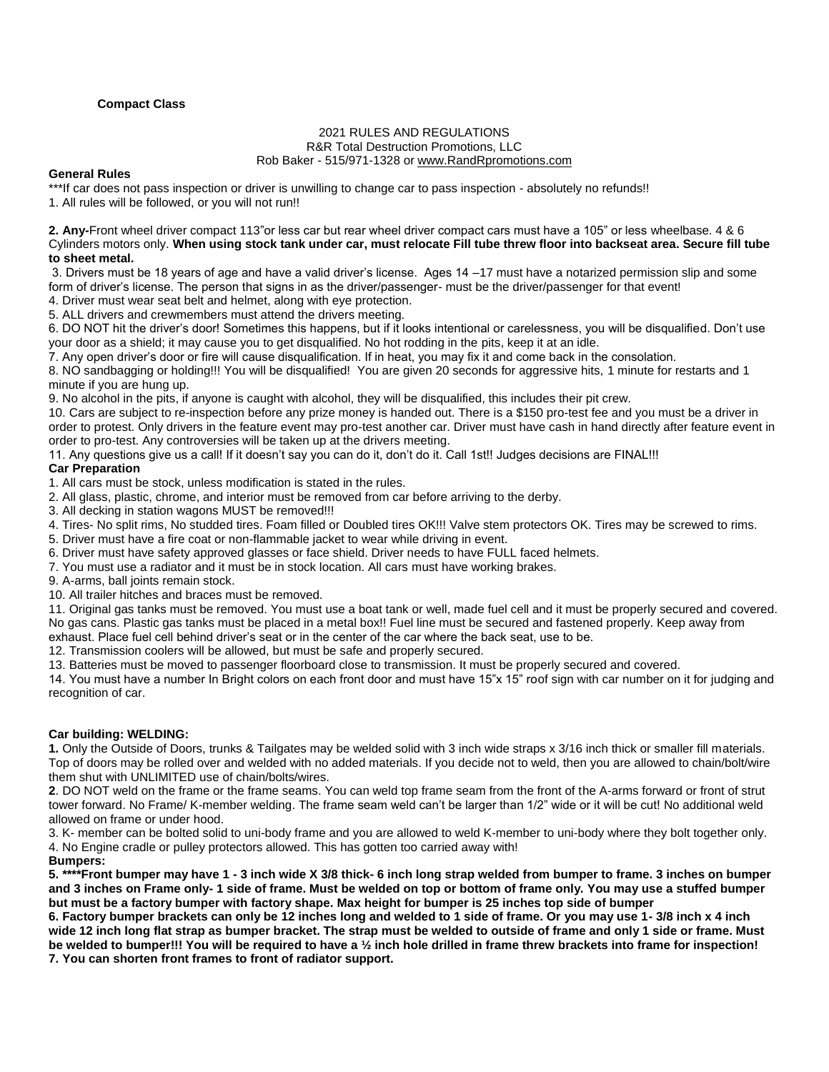## **Compact Class**

# 2021 RULES AND REGULATIONS R&R Total Destruction Promotions, LLC

#### Rob Baker - 515/971-1328 o[r www.RandRpromotions.com](file:///C:/Users/Owner/2008%20Contracts/www.RandRpromotions.com)

#### **General Rules**

\*\*\*If car does not pass inspection or driver is unwilling to change car to pass inspection - absolutely no refunds!!

1. All rules will be followed, or you will not run!!

**2. Any-**Front wheel driver compact 113"or less car but rear wheel driver compact cars must have a 105" or less wheelbase. 4 & 6 Cylinders motors only. **When using stock tank under car, must relocate Fill tube threw floor into backseat area. Secure fill tube to sheet metal.**

3. Drivers must be 18 years of age and have a valid driver's license. Ages 14 –17 must have a notarized permission slip and some form of driver's license. The person that signs in as the driver/passenger- must be the driver/passenger for that event!

4. Driver must wear seat belt and helmet, along with eye protection.

5. ALL drivers and crewmembers must attend the drivers meeting.

6. DO NOT hit the driver's door! Sometimes this happens, but if it looks intentional or carelessness, you will be disqualified. Don't use your door as a shield; it may cause you to get disqualified. No hot rodding in the pits, keep it at an idle.

7. Any open driver's door or fire will cause disqualification. If in heat, you may fix it and come back in the consolation.

8. NO sandbagging or holding!!! You will be disqualified! You are given 20 seconds for aggressive hits, 1 minute for restarts and 1 minute if you are hung up.

9. No alcohol in the pits, if anyone is caught with alcohol, they will be disqualified, this includes their pit crew.

10. Cars are subject to re-inspection before any prize money is handed out. There is a \$150 pro-test fee and you must be a driver in order to protest. Only drivers in the feature event may pro-test another car. Driver must have cash in hand directly after feature event in order to pro-test. Any controversies will be taken up at the drivers meeting.

11. Any questions give us a call! If it doesn't say you can do it, don't do it. Call 1st!! Judges decisions are FINAL!!!

# **Car Preparation**

1. All cars must be stock, unless modification is stated in the rules.

- 2. All glass, plastic, chrome, and interior must be removed from car before arriving to the derby.
- 3. All decking in station wagons MUST be removed!!!

4. Tires- No split rims, No studded tires. Foam filled or Doubled tires OK!!! Valve stem protectors OK. Tires may be screwed to rims.

5. Driver must have a fire coat or non-flammable jacket to wear while driving in event.

- 6. Driver must have safety approved glasses or face shield. Driver needs to have FULL faced helmets.
- 7. You must use a radiator and it must be in stock location. All cars must have working brakes.

9. A-arms, ball joints remain stock.

10. All trailer hitches and braces must be removed.

11. Original gas tanks must be removed. You must use a boat tank or well, made fuel cell and it must be properly secured and covered. No gas cans. Plastic gas tanks must be placed in a metal box!! Fuel line must be secured and fastened properly. Keep away from exhaust. Place fuel cell behind driver's seat or in the center of the car where the back seat, use to be.

12. Transmission coolers will be allowed, but must be safe and properly secured.

13. Batteries must be moved to passenger floorboard close to transmission. It must be properly secured and covered.

14. You must have a number In Bright colors on each front door and must have 15"x 15" roof sign with car number on it for judging and recognition of car.

#### **Car building: WELDING:**

**1.** Only the Outside of Doors, trunks & Tailgates may be welded solid with 3 inch wide straps x 3/16 inch thick or smaller fill materials. Top of doors may be rolled over and welded with no added materials. If you decide not to weld, then you are allowed to chain/bolt/wire them shut with UNLIMITED use of chain/bolts/wires.

**2**. DO NOT weld on the frame or the frame seams. You can weld top frame seam from the front of the A-arms forward or front of strut tower forward. No Frame/ K-member welding. The frame seam weld can't be larger than 1/2" wide or it will be cut! No additional weld allowed on frame or under hood.

3. K- member can be bolted solid to uni-body frame and you are allowed to weld K-member to uni-body where they bolt together only. 4. No Engine cradle or pulley protectors allowed. This has gotten too carried away with!

**Bumpers:**

**5. \*\*\*\*Front bumper may have 1 - 3 inch wide X 3/8 thick- 6 inch long strap welded from bumper to frame. 3 inches on bumper and 3 inches on Frame only- 1 side of frame. Must be welded on top or bottom of frame only. You may use a stuffed bumper but must be a factory bumper with factory shape. Max height for bumper is 25 inches top side of bumper**

**6. Factory bumper brackets can only be 12 inches long and welded to 1 side of frame. Or you may use 1- 3/8 inch x 4 inch wide 12 inch long flat strap as bumper bracket. The strap must be welded to outside of frame and only 1 side or frame. Must be welded to bumper!!! You will be required to have a ½ inch hole drilled in frame threw brackets into frame for inspection! 7. You can shorten front frames to front of radiator support.**